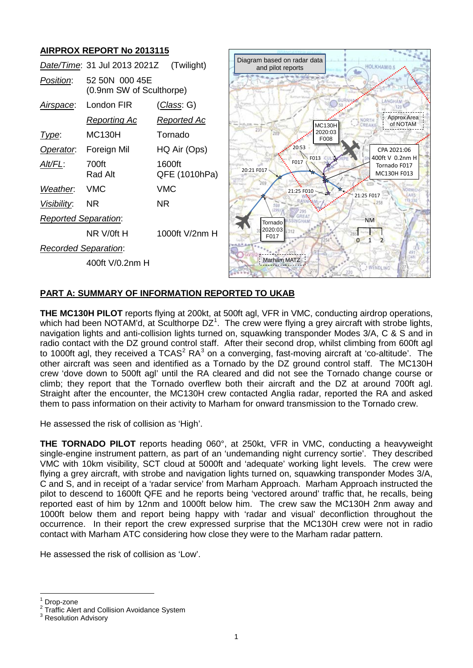# **AIRPROX REPORT No 2013115**

|                             | Date/Time: 31 Jul 2013 2021Z               | (Twilight)              | Diagram based on radar data<br><b>HOLKHAM</b> /0<br>and pilot reports               |
|-----------------------------|--------------------------------------------|-------------------------|-------------------------------------------------------------------------------------|
| Position:                   | 52 50N 000 45E<br>(0.9nm SW of Sculthorpe) |                         |                                                                                     |
| <u>Airspace:</u>            | London FIR                                 | <u>(Class</u> : G)      | LANGHAM                                                                             |
|                             | <b>Reporting Ac</b>                        | <u>Reported Ac</u>      | Approx Area<br>NORTH<br>of NOTAM<br>CREAKI<br>MC <sub>130</sub> H                   |
| Type:                       | <b>MC130H</b>                              | Tornado                 | 2020:03<br>F008                                                                     |
| Operator.                   | Foreign Mil                                | HQ Air (Ops)            | 20:53<br>CPA 2021:06                                                                |
| Alt/FL:                     | 700ft<br>Rad Alt                           | 1600ft<br>QFE (1010hPa) | 400ft V 0.2nm H<br>$\sim$ FO13<br>F017<br>Tornado F017<br>20:21 F017<br>MC130H F013 |
| Weather.                    | <b>VMC</b>                                 | <b>VMC</b>              | 21:25 F010<br>21:25 F017                                                            |
| Visibility:                 | <b>NR</b>                                  | <b>NR</b>               |                                                                                     |
| <b>Reported Separation:</b> |                                            |                         | <b>NM</b><br>Tornado                                                                |
|                             | NR V/0ft H                                 | 1000ft V/2nm H          | 2020:03<br>312<br>F017<br>$\Omega$                                                  |
| <b>Recorded Separation:</b> |                                            |                         |                                                                                     |
|                             | 400ft V/0.2nm H                            |                         | <b>Marham MATZ</b><br>! WENDLING                                                    |

# **PART A: SUMMARY OF INFORMATION REPORTED TO UKAB**

**THE MC130H PILOT** reports flying at 200kt, at 500ft agl, VFR in VMC, conducting airdrop operations, which had been NOTAM'd, at Sculthorpe DZ<sup>[1](#page-0-0)</sup>. The crew were flying a grey aircraft with strobe lights, navigation lights and anti-collision lights turned on, squawking transponder Modes 3/A, C & S and in radio contact with the DZ ground control staff. After their second drop, whilst climbing from 600ft agl to 1000ft agl, they received a  $TCAS<sup>2</sup> RA<sup>3</sup>$  $TCAS<sup>2</sup> RA<sup>3</sup>$  $TCAS<sup>2</sup> RA<sup>3</sup>$  $TCAS<sup>2</sup> RA<sup>3</sup>$  $TCAS<sup>2</sup> RA<sup>3</sup>$  on a converging, fast-moving aircraft at 'co-altitude'. The other aircraft was seen and identified as a Tornado by the DZ ground control staff. The MC130H crew 'dove down to 500ft agl' until the RA cleared and did not see the Tornado change course or climb; they report that the Tornado overflew both their aircraft and the DZ at around 700ft agl. Straight after the encounter, the MC130H crew contacted Anglia radar, reported the RA and asked them to pass information on their activity to Marham for onward transmission to the Tornado crew.

He assessed the risk of collision as 'High'.

**THE TORNADO PILOT** reports heading 060°, at 250kt, VFR in VMC, conducting a heavyweight single-engine instrument pattern, as part of an 'undemanding night currency sortie'. They described VMC with 10km visibility, SCT cloud at 5000ft and 'adequate' working light levels. The crew were flying a grey aircraft, with strobe and navigation lights turned on, squawking transponder Modes 3/A, C and S, and in receipt of a 'radar service' from Marham Approach. Marham Approach instructed the pilot to descend to 1600ft QFE and he reports being 'vectored around' traffic that, he recalls, being reported east of him by 12nm and 1000ft below him. The crew saw the MC130H 2nm away and 1000ft below them and report being happy with 'radar and visual' deconfliction throughout the occurrence. In their report the crew expressed surprise that the MC130H crew were not in radio contact with Marham ATC considering how close they were to the Marham radar pattern.

He assessed the risk of collision as 'Low'.

<span id="page-0-1"></span><span id="page-0-0"></span><sup>&</sup>lt;sup>1</sup> Drop-zone<br><sup>2</sup> Traffic Alert and Collision Avoidance System  $^3$  Resolution Advisory

<span id="page-0-2"></span>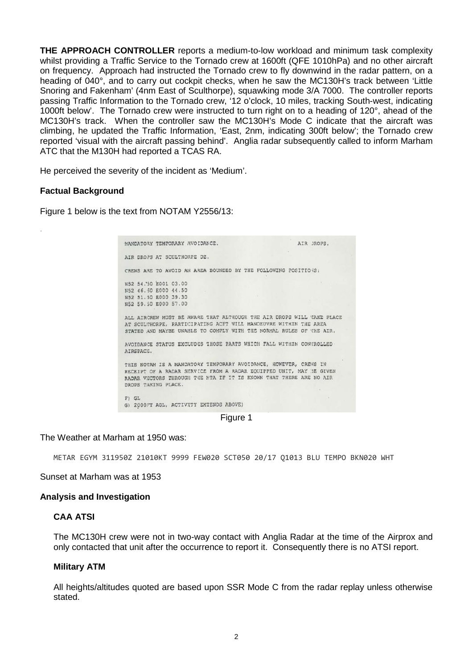**THE APPROACH CONTROLLER** reports a medium-to-low workload and minimum task complexity whilst providing a Traffic Service to the Tornado crew at 1600ft (QFE 1010hPa) and no other aircraft on frequency. Approach had instructed the Tornado crew to fly downwind in the radar pattern, on a heading of 040°, and to carry out cockpit checks, when he saw the MC130H's track between 'Little Snoring and Fakenham' (4nm East of Sculthorpe), squawking mode 3/A 7000. The controller reports passing Traffic Information to the Tornado crew, '12 o'clock, 10 miles, tracking South-west, indicating 1000ft below'. The Tornado crew were instructed to turn right on to a heading of 120°, ahead of the MC130H's track. When the controller saw the MC130H's Mode C indicate that the aircraft was climbing, he updated the Traffic Information, 'East, 2nm, indicating 300ft below'; the Tornado crew reported 'visual with the aircraft passing behind'. Anglia radar subsequently called to inform Marham ATC that the M130H had reported a TCAS RA.

He perceived the severity of the incident as 'Medium'.

### **Factual Background**

·

Figure 1 below is the text from NOTAM Y2556/13:

MANDATORY TEMPORARY AVOIDANCE. ATR JROPS AIR DROPS AT SCULTHORPE DZ. CREWS ARE TO AVOID AN AREA BOUNDED BY THE FOLLOWING POSITIONS: N52 54.50 2001 03.00 N52 46.50 E000 44.50 N52 51.50 E000 39.30 N52 59.50 E000 57.00 ALL AIRCREW MUST BE AWARE THAT ALTHOUGH THE AIR DROPS WILL TAKE PLACE AT SCULTHORPE, PARTICIPATING ACFT WILL MANOEUVRE WITHIN THE AREA STATED AND MAYBE UNABLE TO COMPLY WITH THE NORMAL RULES OF THE AIR. AVOIDANCE STATUS EXCLUDES THOSE PARTS WHICH FALL WITHIN CONTROLLED AIRSPACE. THIS NOTAM IS A MANDATORY TEMPORARY AVOIDANCE, HOWEVER, CREWS IN RECEIPT OF A RADAR SERVICE FROM A RADAR EQUIPPED UNIT, MAY BE GIVEN RADAR VECTORS THROUGH THE MTA IF IT IS KNOWN THAT THERE ARE NO AIR DROPS TAKING PLACE. F) GL G) 2000FT AGL, ACTIVITY EXTENDS ABOVE)

Figure 1

#### The Weather at Marham at 1950 was:

METAR EGYM 311950Z 21010KT 9999 FEW020 SCT050 20/17 Q1013 BLU TEMPO BKN020 WHT

Sunset at Marham was at 1953

#### **Analysis and Investigation**

### **CAA ATSI**

The MC130H crew were not in two-way contact with Anglia Radar at the time of the Airprox and only contacted that unit after the occurrence to report it. Consequently there is no ATSI report.

#### **Military ATM**

All heights/altitudes quoted are based upon SSR Mode C from the radar replay unless otherwise stated.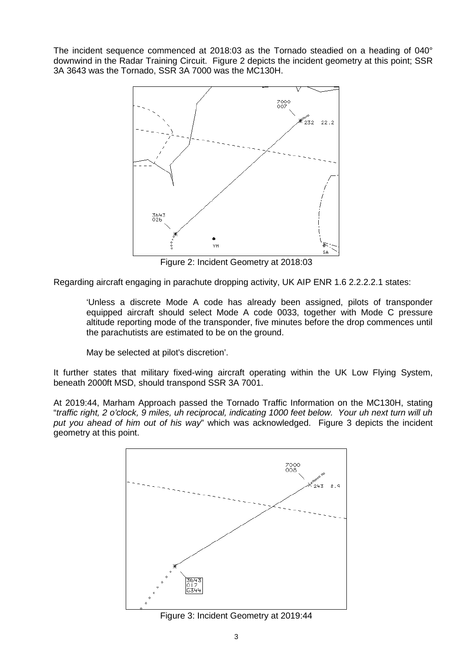The incident sequence commenced at 2018:03 as the Tornado steadied on a heading of 040° downwind in the Radar Training Circuit. Figure 2 depicts the incident geometry at this point; SSR 3A 3643 was the Tornado, SSR 3A 7000 was the MC130H.



Figure 2: Incident Geometry at 2018:03

Regarding aircraft engaging in parachute dropping activity, UK AIP ENR 1.6 2.2.2.2.1 states:

'Unless a discrete Mode A code has already been assigned, pilots of transponder equipped aircraft should select Mode A code 0033, together with Mode C pressure altitude reporting mode of the transponder, five minutes before the drop commences until the parachutists are estimated to be on the ground.

May be selected at pilot's discretion'.

It further states that military fixed-wing aircraft operating within the UK Low Flying System, beneath 2000ft MSD, should transpond SSR 3A 7001.

At 2019:44, Marham Approach passed the Tornado Traffic Information on the MC130H, stating "*traffic right, 2 o'clock, 9 miles, uh reciprocal, indicating 1000 feet below. Your uh next turn will uh put you ahead of him out of his way*" which was acknowledged. Figure 3 depicts the incident geometry at this point.



Figure 3: Incident Geometry at 2019:44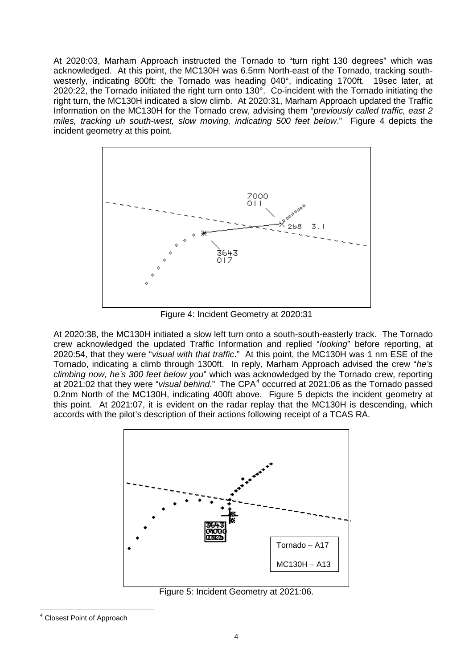At 2020:03, Marham Approach instructed the Tornado to "turn right 130 degrees" which was acknowledged. At this point, the MC130H was 6.5nm North-east of the Tornado, tracking southwesterly, indicating 800ft; the Tornado was heading 040°, indicating 1700ft. 19sec later, at 2020:22, the Tornado initiated the right turn onto 130°. Co-incident with the Tornado initiating the right turn, the MC130H indicated a slow climb. At 2020:31, Marham Approach updated the Traffic Information on the MC130H for the Tornado crew, advising them "*previously called traffic, east 2 miles, tracking uh south-west, slow moving, indicating 500 feet below*." Figure 4 depicts the incident geometry at this point.



Figure 4: Incident Geometry at 2020:31

At 2020:38, the MC130H initiated a slow left turn onto a south-south-easterly track. The Tornado crew acknowledged the updated Traffic Information and replied "*looking*" before reporting, at 2020:54, that they were "*visual with that traffic*." At this point, the MC130H was 1 nm ESE of the Tornado, indicating a climb through 1300ft. In reply, Marham Approach advised the crew "*he's climbing now, he's 300 feet below you*" which was acknowledged by the Tornado crew, reporting at 2021:02 that they were "*visual behind*." The CPA<sup>[4](#page-3-0)</sup> occurred at 2021:06 as the Tornado passed 0.2nm North of the MC130H, indicating 400ft above. Figure 5 depicts the incident geometry at this point. At 2021:07, it is evident on the radar replay that the MC130H is descending, which accords with the pilot's description of their actions following receipt of a TCAS RA.



Figure 5: Incident Geometry at 2021:06.

<span id="page-3-0"></span><sup>4</sup> Closest Point of Approach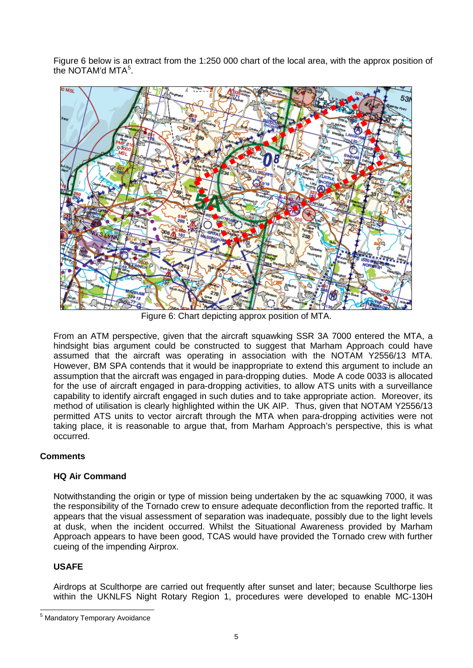Figure 6 below is an extract from the 1:250 000 chart of the local area, with the approx position of the NOTAM'd MTA<sup>[5](#page-4-0)</sup>.



Figure 6: Chart depicting approx position of MTA.

From an ATM perspective, given that the aircraft squawking SSR 3A 7000 entered the MTA, a hindsight bias argument could be constructed to suggest that Marham Approach could have assumed that the aircraft was operating in association with the NOTAM Y2556/13 MTA. However, BM SPA contends that it would be inappropriate to extend this argument to include an assumption that the aircraft was engaged in para-dropping duties. Mode A code 0033 is allocated for the use of aircraft engaged in para-dropping activities, to allow ATS units with a surveillance capability to identify aircraft engaged in such duties and to take appropriate action. Moreover, its method of utilisation is clearly highlighted within the UK AIP. Thus, given that NOTAM Y2556/13 permitted ATS units to vector aircraft through the MTA when para-dropping activities were not taking place, it is reasonable to argue that, from Marham Approach's perspective, this is what occurred.

# **Comments**

# **HQ Air Command**

Notwithstanding the origin or type of mission being undertaken by the ac squawking 7000, it was the responsibility of the Tornado crew to ensure adequate deconfliction from the reported traffic. It appears that the visual assessment of separation was inadequate, possibly due to the light levels at dusk, when the incident occurred. Whilst the Situational Awareness provided by Marham Approach appears to have been good, TCAS would have provided the Tornado crew with further cueing of the impending Airprox.

# **USAFE**

Airdrops at Sculthorpe are carried out frequently after sunset and later; because Sculthorpe lies within the UKNLFS Night Rotary Region 1, procedures were developed to enable MC-130H

<span id="page-4-0"></span><sup>5</sup> Mandatory Temporary Avoidance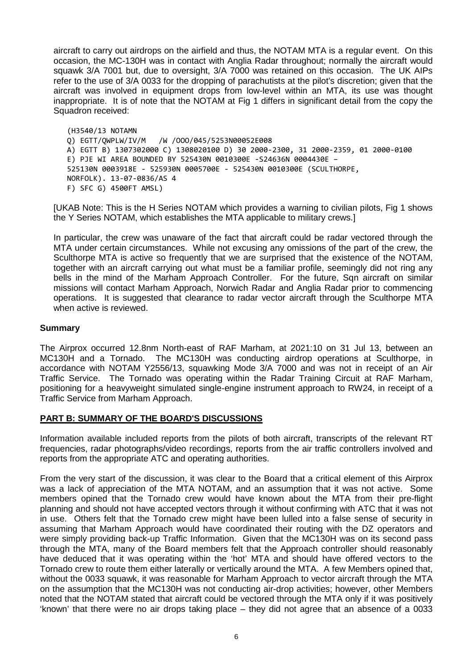aircraft to carry out airdrops on the airfield and thus, the NOTAM MTA is a regular event. On this occasion, the MC-130H was in contact with Anglia Radar throughout; normally the aircraft would squawk 3/A 7001 but, due to oversight, 3/A 7000 was retained on this occasion. The UK AIPs refer to the use of 3/A 0033 for the dropping of parachutists at the pilot's discretion; given that the aircraft was involved in equipment drops from low-level within an MTA, its use was thought inappropriate. It is of note that the NOTAM at Fig 1 differs in significant detail from the copy the Squadron received:

(H3540/13 NOTAMN Q) EGTT/QWPLW/IV/M /W /OOO/045/5253N00052E008 A) EGTT B) 1307302000 C) 1308020100 D) 30 2000-2300, 31 2000-2359, 01 2000-0100 E) PJE WI AREA BOUNDED BY 525430N 0010300E -S24636N 0004430E – 525130N 0003918E - 525930N 0005700E - 525430N 0010300E (SCULTHORPE, NORFOLK). 13-07-0836/AS 4 F) SFC G) 4500FT AMSL)

[UKAB Note: This is the H Series NOTAM which provides a warning to civilian pilots, Fig 1 shows the Y Series NOTAM, which establishes the MTA applicable to military crews.]

In particular, the crew was unaware of the fact that aircraft could be radar vectored through the MTA under certain circumstances. While not excusing any omissions of the part of the crew, the Sculthorpe MTA is active so frequently that we are surprised that the existence of the NOTAM, together with an aircraft carrying out what must be a familiar profile, seemingly did not ring any bells in the mind of the Marham Approach Controller. For the future, Sqn aircraft on similar missions will contact Marham Approach, Norwich Radar and Anglia Radar prior to commencing operations. It is suggested that clearance to radar vector aircraft through the Sculthorpe MTA when active is reviewed.

### **Summary**

The Airprox occurred 12.8nm North-east of RAF Marham, at 2021:10 on 31 Jul 13, between an MC130H and a Tornado. The MC130H was conducting airdrop operations at Sculthorpe, in accordance with NOTAM Y2556/13, squawking Mode 3/A 7000 and was not in receipt of an Air Traffic Service. The Tornado was operating within the Radar Training Circuit at RAF Marham, positioning for a heavyweight simulated single-engine instrument approach to RW24, in receipt of a Traffic Service from Marham Approach.

# **PART B: SUMMARY OF THE BOARD'S DISCUSSIONS**

Information available included reports from the pilots of both aircraft, transcripts of the relevant RT frequencies, radar photographs/video recordings, reports from the air traffic controllers involved and reports from the appropriate ATC and operating authorities.

From the very start of the discussion, it was clear to the Board that a critical element of this Airprox was a lack of appreciation of the MTA NOTAM, and an assumption that it was not active. Some members opined that the Tornado crew would have known about the MTA from their pre-flight planning and should not have accepted vectors through it without confirming with ATC that it was not in use. Others felt that the Tornado crew might have been lulled into a false sense of security in assuming that Marham Approach would have coordinated their routing with the DZ operators and were simply providing back-up Traffic Information. Given that the MC130H was on its second pass through the MTA, many of the Board members felt that the Approach controller should reasonably have deduced that it was operating within the 'hot' MTA and should have offered vectors to the Tornado crew to route them either laterally or vertically around the MTA. A few Members opined that, without the 0033 squawk, it was reasonable for Marham Approach to vector aircraft through the MTA on the assumption that the MC130H was not conducting air-drop activities; however, other Members noted that the NOTAM stated that aircraft could be vectored through the MTA only if it was positively 'known' that there were no air drops taking place – they did not agree that an absence of a 0033